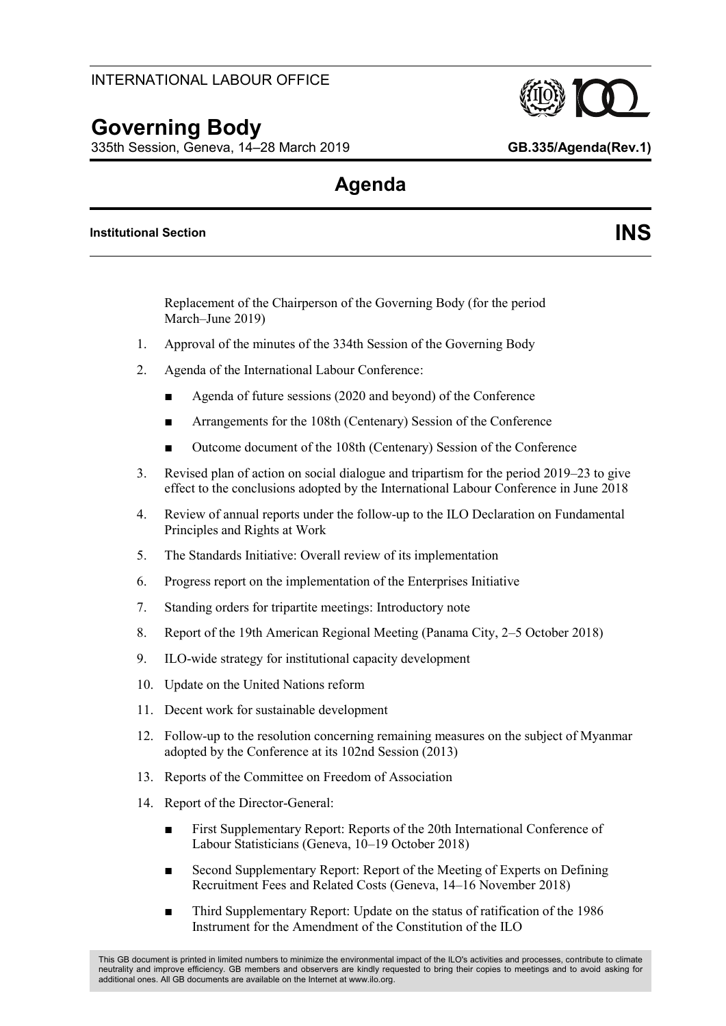# **Governing Body**

335th Session, Geneva, 14–28 March 2019 **GB.335/Agenda(Rev.1)**

## **Agenda**

#### **Institutional Section INS**

Replacement of the Chairperson of the Governing Body (for the period March–June 2019)

- 1. Approval of the minutes of the 334th Session of the Governing Body
- 2. Agenda of the International Labour Conference:
	- Agenda of future sessions (2020 and beyond) of the Conference
	- Arrangements for the 108th (Centenary) Session of the Conference
	- Outcome document of the 108th (Centenary) Session of the Conference
- 3. Revised plan of action on social dialogue and tripartism for the period 2019–23 to give effect to the conclusions adopted by the International Labour Conference in June 2018
- 4. Review of annual reports under the follow-up to the ILO Declaration on Fundamental Principles and Rights at Work
- 5. The Standards Initiative: Overall review of its implementation
- 6. Progress report on the implementation of the Enterprises Initiative
- 7. Standing orders for tripartite meetings: Introductory note
- 8. Report of the 19th American Regional Meeting (Panama City, 2–5 October 2018)
- 9. ILO-wide strategy for institutional capacity development
- 10. Update on the United Nations reform
- 11. Decent work for sustainable development
- 12. Follow-up to the resolution concerning remaining measures on the subject of Myanmar adopted by the Conference at its 102nd Session (2013)
- 13. Reports of the Committee on Freedom of Association
- 14. Report of the Director-General:
	- First Supplementary Report: Reports of the 20th International Conference of Labour Statisticians (Geneva, 10–19 October 2018)
	- Second Supplementary Report: Report of the Meeting of Experts on Defining Recruitment Fees and Related Costs (Geneva, 14–16 November 2018)
	- Third Supplementary Report: Update on the status of ratification of the 1986 Instrument for the Amendment of the Constitution of the ILO

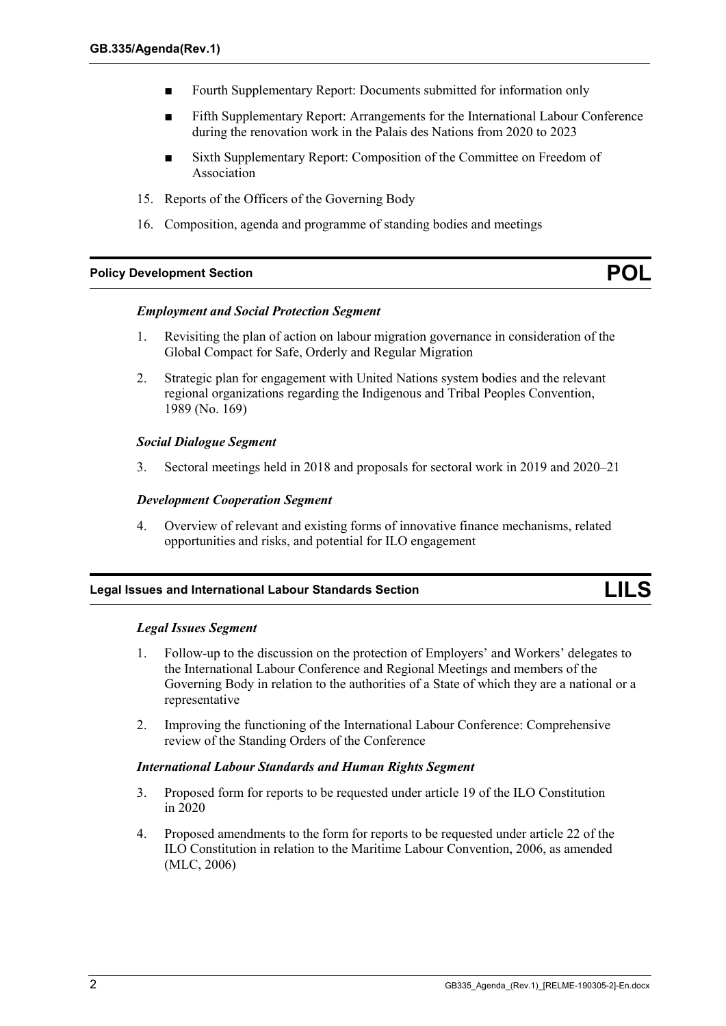- Fourth Supplementary Report: Documents submitted for information only
- Fifth Supplementary Report: Arrangements for the International Labour Conference during the renovation work in the Palais des Nations from 2020 to 2023
- Sixth Supplementary Report: Composition of the Committee on Freedom of Association
- 15. Reports of the Officers of the Governing Body
- 16. Composition, agenda and programme of standing bodies and meetings

#### **Policy Development Section POL**

#### *Employment and Social Protection Segment*

- 1. Revisiting the plan of action on labour migration governance in consideration of the Global Compact for Safe, Orderly and Regular Migration
- 2. Strategic plan for engagement with United Nations system bodies and the relevant regional organizations regarding the Indigenous and Tribal Peoples Convention, 1989 (No. 169)

#### *Social Dialogue Segment*

3. Sectoral meetings held in 2018 and proposals for sectoral work in 2019 and 2020–21

#### *Development Cooperation Segment*

4. Overview of relevant and existing forms of innovative finance mechanisms, related opportunities and risks, and potential for ILO engagement

## **Legal Issues and International Labour Standards Section LILS**

#### *Legal Issues Segment*

- 1. Follow-up to the discussion on the protection of Employers' and Workers' delegates to the International Labour Conference and Regional Meetings and members of the Governing Body in relation to the authorities of a State of which they are a national or a representative
- 2. Improving the functioning of the International Labour Conference: Comprehensive review of the Standing Orders of the Conference

#### *International Labour Standards and Human Rights Segment*

- 3. Proposed form for reports to be requested under article 19 of the ILO Constitution in 2020
- 4. Proposed amendments to the form for reports to be requested under article 22 of the ILO Constitution in relation to the Maritime Labour Convention, 2006, as amended (MLC, 2006)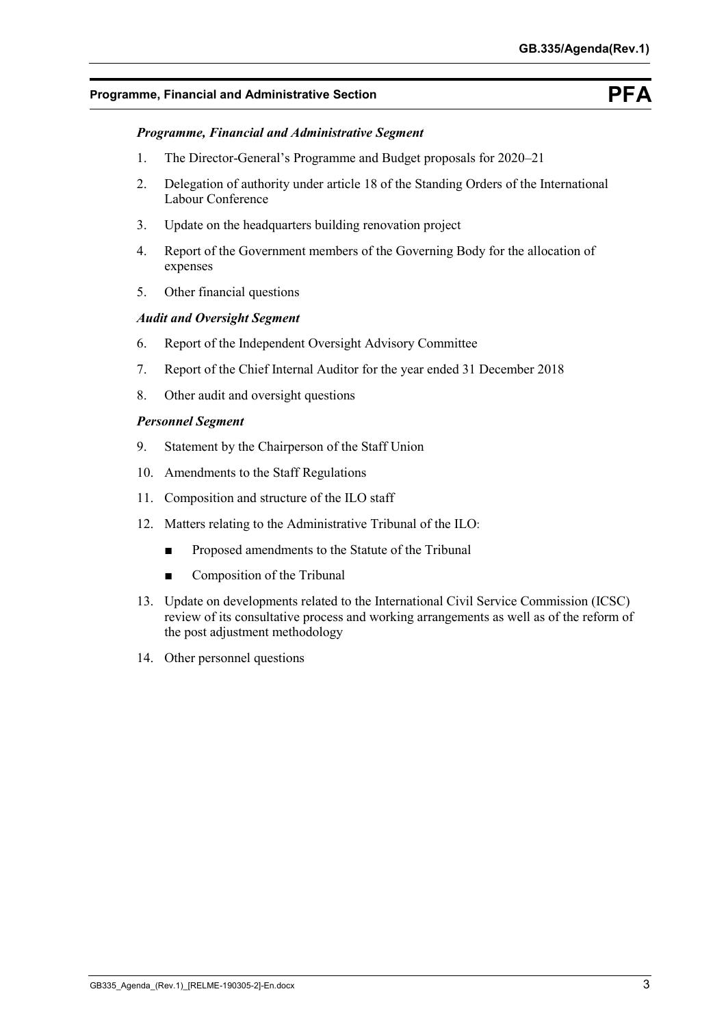## **Programme, Financial and Administrative Section PFA**

## *Programme, Financial and Administrative Segment*

- 1. The Director-General's Programme and Budget proposals for 2020–21
- 2. Delegation of authority under article 18 of the Standing Orders of the International Labour Conference
- 3. Update on the headquarters building renovation project
- 4. Report of the Government members of the Governing Body for the allocation of expenses
- 5. Other financial questions

## *Audit and Oversight Segment*

- 6. Report of the Independent Oversight Advisory Committee
- 7. Report of the Chief Internal Auditor for the year ended 31 December 2018
- 8. Other audit and oversight questions

## *Personnel Segment*

- 9. Statement by the Chairperson of the Staff Union
- 10. Amendments to the Staff Regulations
- 11. Composition and structure of the ILO staff
- 12. Matters relating to the Administrative Tribunal of the ILO:
	- Proposed amendments to the Statute of the Tribunal
	- Composition of the Tribunal
- 13. Update on developments related to the International Civil Service Commission (ICSC) review of its consultative process and working arrangements as well as of the reform of the post adjustment methodology
- 14. Other personnel questions